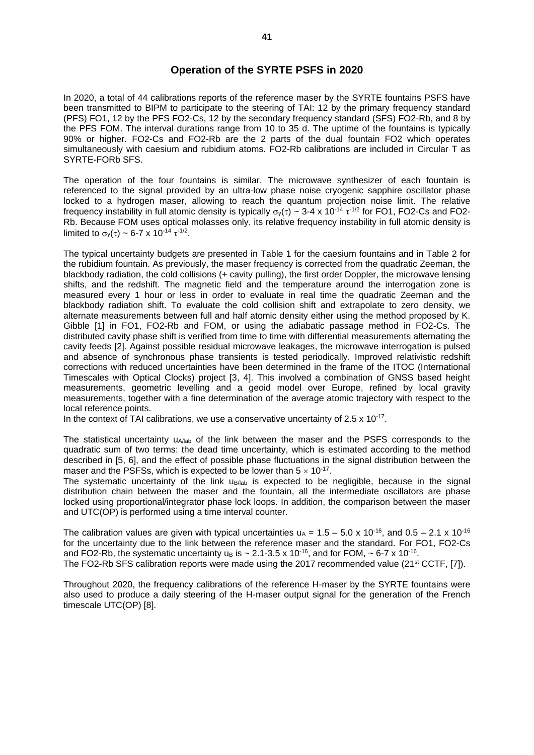## **Operation of the SYRTE PSFS in 2020**

In 2020, a total of 44 calibrations reports of the reference maser by the SYRTE fountains PSFS have been transmitted to BIPM to participate to the steering of TAI: 12 by the primary frequency standard (PFS) FO1, 12 by the PFS FO2-Cs, 12 by the secondary frequency standard (SFS) FO2-Rb, and 8 by the PFS FOM. The interval durations range from 10 to 35 d. The uptime of the fountains is typically 90% or higher. FO2-Cs and FO2-Rb are the 2 parts of the dual fountain FO2 which operates simultaneously with caesium and rubidium atoms. FO2-Rb calibrations are included in Circular T as SYRTE-FORb SFS.

The operation of the four fountains is similar. The microwave synthesizer of each fountain is referenced to the signal provided by an ultra-low phase noise cryogenic sapphire oscillator phase locked to a hydrogen maser, allowing to reach the quantum projection noise limit. The relative frequency instability in full atomic density is typically  $\sigma_y(\tau) \sim 3$ -4 x 10<sup>-14</sup>  $\tau$ <sup>-1/2</sup> for FO1, FO2-Cs and FO2-Rb. Because FOM uses optical molasses only, its relative frequency instability in full atomic density is limited to  $\sigma_y(\tau) \sim 6-7 \times 10^{-14} \tau^{-1/2}$ .

The typical uncertainty budgets are presented in Table 1 for the caesium fountains and in Table 2 for the rubidium fountain. As previously, the maser frequency is corrected from the quadratic Zeeman, the blackbody radiation, the cold collisions (+ cavity pulling), the first order Doppler, the microwave lensing shifts, and the redshift. The magnetic field and the temperature around the interrogation zone is measured every 1 hour or less in order to evaluate in real time the quadratic Zeeman and the blackbody radiation shift. To evaluate the cold collision shift and extrapolate to zero density, we alternate measurements between full and half atomic density either using the method proposed by K. Gibble [1] in FO1, FO2-Rb and FOM, or using the adiabatic passage method in FO2-Cs. The distributed cavity phase shift is verified from time to time with differential measurements alternating the cavity feeds [2]. Against possible residual microwave leakages, the microwave interrogation is pulsed and absence of synchronous phase transients is tested periodically. Improved relativistic redshift corrections with reduced uncertainties have been determined in the frame of the ITOC (International Timescales with Optical Clocks) project [3, 4]. This involved a combination of GNSS based height measurements, geometric levelling and a geoid model over Europe, refined by local gravity measurements, together with a fine determination of the average atomic trajectory with respect to the local reference points.

In the context of TAI calibrations, we use a conservative uncertainty of 2.5  $\times$  10<sup>-17</sup>.

The statistical uncertainty u<sub>A/lab</sub> of the link between the maser and the PSFS corresponds to the quadratic sum of two terms: the dead time uncertainty, which is estimated according to the method described in [5, 6], and the effect of possible phase fluctuations in the signal distribution between the maser and the PSFSs, which is expected to be lower than  $5 \times 10^{-17}$ .

The systematic uncertainty of the link u<sub>B/lab</sub> is expected to be negligible, because in the signal distribution chain between the maser and the fountain, all the intermediate oscillators are phase locked using proportional/integrator phase lock loops. In addition, the comparison between the maser and UTC(OP) is performed using a time interval counter.

The calibration values are given with typical uncertainties  $u_A = 1.5 - 5.0 \times 10^{-16}$ , and  $0.5 - 2.1 \times 10^{-16}$ for the uncertainty due to the link between the reference maser and the standard. For FO1, FO2-Cs and FO2-Rb, the systematic uncertainty u<sub>B</sub> is  $\sim$  2.1-3.5 x 10<sup>-16</sup>, and for FOM,  $\sim$  6-7 x 10<sup>-16</sup>.

The FO2-Rb SFS calibration reports were made using the 2017 recommended value (21<sup>st</sup> CCTF, [7]).

Throughout 2020, the frequency calibrations of the reference H-maser by the SYRTE fountains were also used to produce a daily steering of the H-maser output signal for the generation of the French timescale UTC(OP) [8].